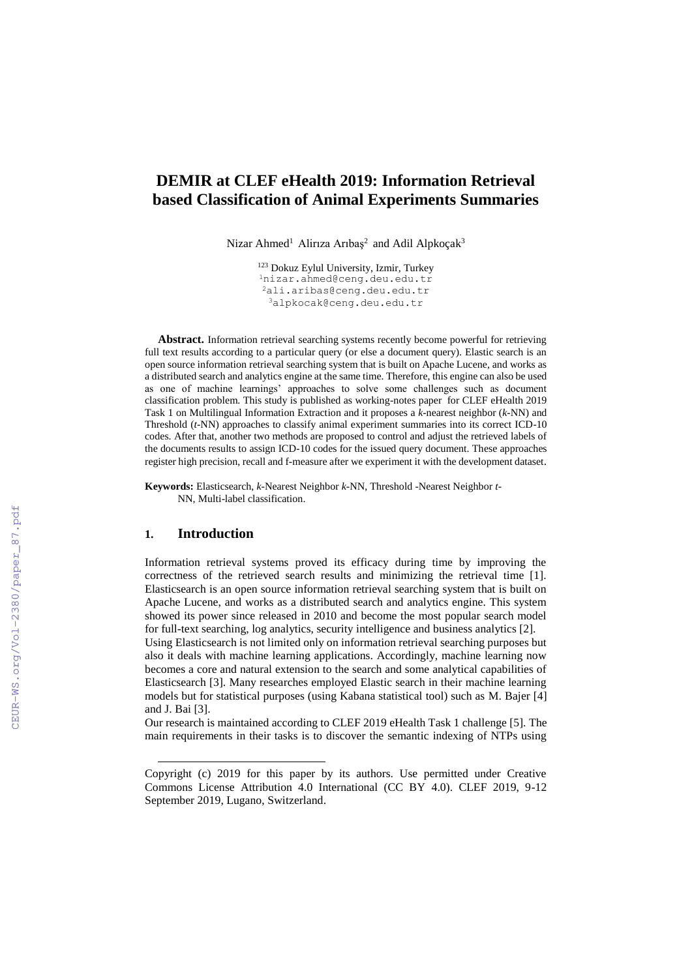## **DEMIR at CLEF eHealth 2019: Information Retrieval based Classification of Animal Experiments Summaries**

Nizar Ahmed<sup>1</sup> Alirıza Arıbaş<sup>2</sup> and Adil Alpkoçak<sup>3</sup>

 Dokuz Eylul University, Izmir, Turkey [nizar.ahmed@ceng.deu.edu.tr](mailto:nizar.ahmed@ceng.deu.edu.tr) ali.aribas@ceng.deu.edu.tr [alpkocak@](about:blank)ceng.deu.edu.tr

**Abstract.** Information retrieval searching systems recently become powerful for retrieving full text results according to a particular query (or else a document query). Elastic search is an open source information retrieval searching system that is built on Apache Lucene, and works as a distributed search and analytics engine at the same time. Therefore, this engine can also be used as one of machine learnings' approaches to solve some challenges such as document classification problem. This study is published as working-notes paper for CLEF eHealth 2019 Task 1 on Multilingual Information Extraction and it proposes a *k*-nearest neighbor (*k*-NN) and Threshold (*t*-NN) approaches to classify animal experiment summaries into its correct ICD-10 codes. After that, another two methods are proposed to control and adjust the retrieved labels of the documents results to assign ICD-10 codes for the issued query document. These approaches register high precision, recall and f-measure after we experiment it with the development dataset.

**Keywords:** Elasticsearch, *k*-Nearest Neighbor *k*-NN, Threshold -Nearest Neighbor *t*-NN, Multi-label classification.

### **1. Introduction**

-

Information retrieval systems proved its efficacy during time by improving the correctness of the retrieved search results and minimizing the retrieval time [1]. Elasticsearch is an open source information retrieval searching system that is built on Apache Lucene, and works as a distributed search and analytics engine. This system showed its power since released in 2010 and become the most popular search model for full-text searching, log analytics, security intelligence and business analytics [2].

Using Elasticsearch is not limited only on information retrieval searching purposes but also it deals with machine learning applications. Accordingly, machine learning now becomes a core and natural extension to the search and some analytical capabilities of Elasticsearch [3]. Many researches employed Elastic search in their machine learning models but for statistical purposes (using Kabana statistical tool) such as M. Bajer [4] and J. Bai [3].

Our research is maintained according to CLEF 2019 eHealth Task 1 challenge [5]. The main requirements in their tasks is to discover the semantic indexing of NTPs using

Copyright (c) 2019 for this paper by its authors. Use permitted under Creative Commons License Attribution 4.0 International (CC BY 4.0). CLEF 2019, 9-12 September 2019, Lugano, Switzerland.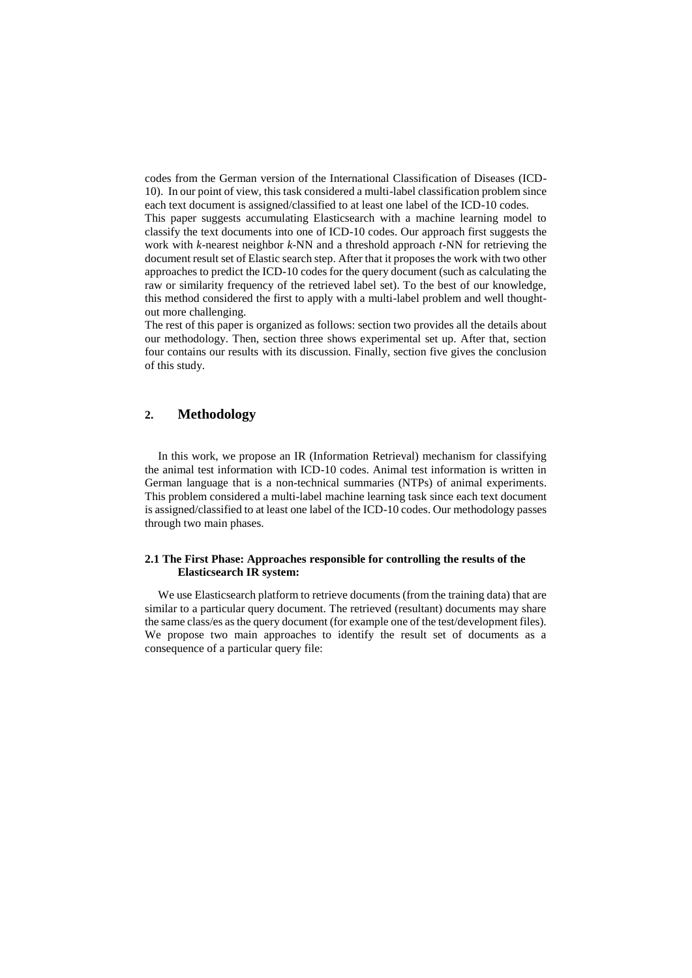codes from the German version of the International Classification of Diseases (ICD-10). In our point of view, this task considered a multi-label classification problem since each text document is assigned/classified to at least one label of the ICD-10 codes.

This paper suggests accumulating Elasticsearch with a machine learning model to classify the text documents into one of ICD-10 codes. Our approach first suggests the work with *k*-nearest neighbor *k*-NN and a threshold approach *t*-NN for retrieving the document result set of Elastic search step. After that it proposes the work with two other approaches to predict the ICD-10 codes for the query document (such as calculating the raw or similarity frequency of the retrieved label set). To the best of our knowledge, this method considered the first to apply with a multi-label problem and well thoughtout more challenging.

The rest of this paper is organized as follows: section two provides all the details about our methodology. Then, section three shows experimental set up. After that, section four contains our results with its discussion. Finally, section five gives the conclusion of this study.

## **2. Methodology**

In this work, we propose an IR (Information Retrieval) mechanism for classifying the animal test information with ICD-10 codes. Animal test information is written in German language that is a non-technical summaries (NTPs) of animal experiments. This problem considered a multi-label machine learning task since each text document is assigned/classified to at least one label of the ICD-10 codes. Our methodology passes through two main phases.

### **2.1 The First Phase: Approaches responsible for controlling the results of the Elasticsearch IR system:**

We use Elasticsearch platform to retrieve documents (from the training data) that are similar to a particular query document. The retrieved (resultant) documents may share the same class/es as the query document (for example one of the test/development files). We propose two main approaches to identify the result set of documents as a consequence of a particular query file: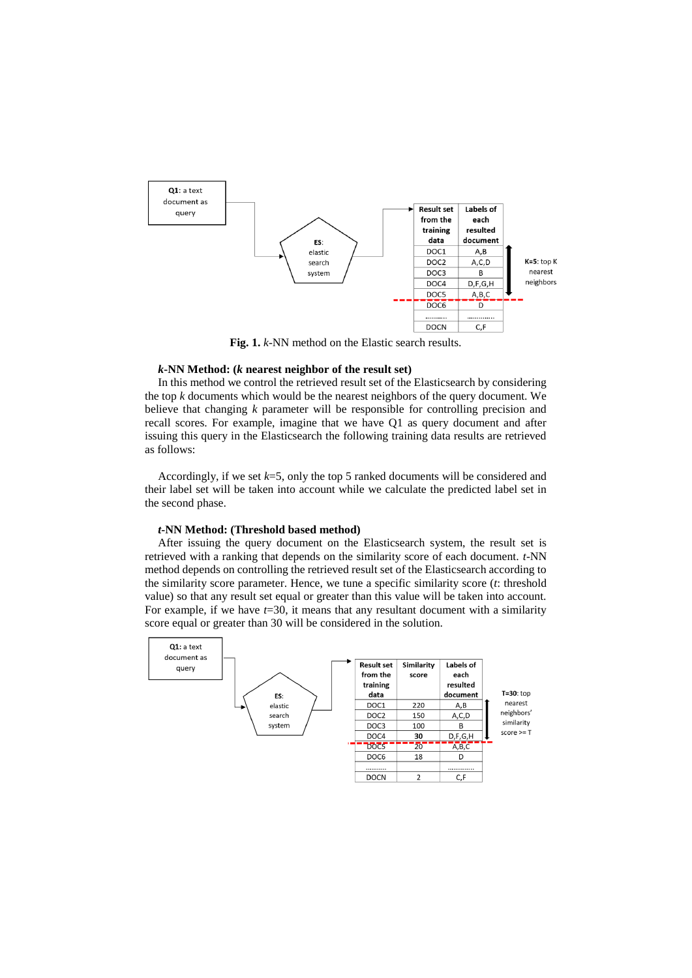

**Fig. 1.** *k*-NN method on the Elastic search results.

### *k***-NN Method: (***k* **nearest neighbor of the result set)**

In this method we control the retrieved result set of the Elasticsearch by considering the top *k* documents which would be the nearest neighbors of the query document. We believe that changing *k* parameter will be responsible for controlling precision and recall scores. For example, imagine that we have Q1 as query document and after issuing this query in the Elasticsearch the following training data results are retrieved as follows:

Accordingly, if we set *k*=5, only the top 5 ranked documents will be considered and their label set will be taken into account while we calculate the predicted label set in the second phase.

### *t***-NN Method: (Threshold based method)**

After issuing the query document on the Elasticsearch system, the result set is retrieved with a ranking that depends on the similarity score of each document. *t*-NN method depends on controlling the retrieved result set of the Elasticsearch according to the similarity score parameter. Hence, we tune a specific similarity score (*t*: threshold value) so that any result set equal or greater than this value will be taken into account. For example, if we have  $t=30$ , it means that any resultant document with a similarity score equal or greater than 30 will be considered in the solution.

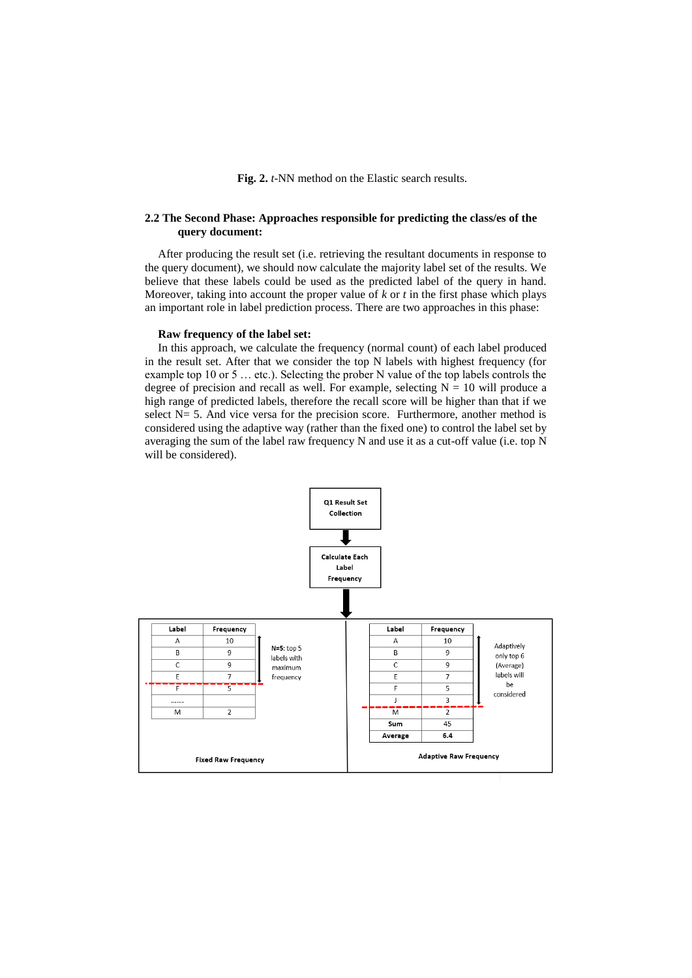**Fig. 2.** *t*-NN method on the Elastic search results.

### **2.2 The Second Phase: Approaches responsible for predicting the class/es of the query document:**

After producing the result set (i.e. retrieving the resultant documents in response to the query document), we should now calculate the majority label set of the results. We believe that these labels could be used as the predicted label of the query in hand. Moreover, taking into account the proper value of  $k$  or  $t$  in the first phase which plays an important role in label prediction process. There are two approaches in this phase:

### **Raw frequency of the label set:**

In this approach, we calculate the frequency (normal count) of each label produced in the result set. After that we consider the top N labels with highest frequency (for example top 10 or 5 … etc.). Selecting the prober N value of the top labels controls the degree of precision and recall as well. For example, selecting  $N = 10$  will produce a high range of predicted labels, therefore the recall score will be higher than that if we select  $N= 5$ . And vice versa for the precision score. Furthermore, another method is considered using the adaptive way (rather than the fixed one) to control the label set by averaging the sum of the label raw frequency N and use it as a cut-off value (i.e. top N will be considered).

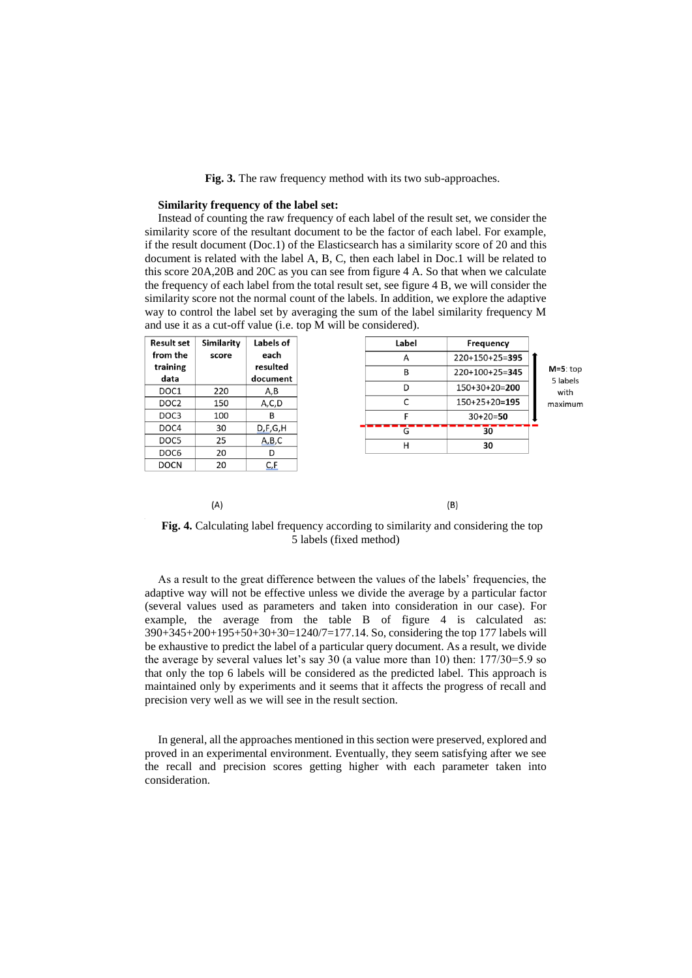**Fig. 3.** The raw frequency method with its two sub-approaches.

### **Similarity frequency of the label set:**

 $(A)$ 

Instead of counting the raw frequency of each label of the result set, we consider the similarity score of the resultant document to be the factor of each label. For example, if the result document (Doc.1) of the Elasticsearch has a similarity score of 20 and this document is related with the label A, B, C, then each label in Doc.1 will be related to this score 20A,20B and 20C as you can see from figure 4 A. So that when we calculate the frequency of each label from the total result set, see figure 4 B, we will consider the similarity score not the normal count of the labels. In addition, we explore the adaptive way to control the label set by averaging the sum of the label similarity frequency M and use it as a cut-off value (i.e. top M will be considered).

| <b>Result set</b><br>Similarity | Labels of            | Label | Frequency       |
|---------------------------------|----------------------|-------|-----------------|
| from the<br>score               | each                 | A     | 220+150+25=395  |
| training<br>data                | resulted<br>document | B     | 220+100+25=345  |
| 220<br>DOC1                     | A,B                  | D     | $150+30+20=200$ |
| DOC <sub>2</sub><br>150         | A,C,D                |       | $150+25+20=195$ |
| 100                             | R                    | F     | $30+20=50$      |
| DOC4<br>30                      | D.F.G.H              | G     | 30              |
| DOC5<br>25                      | A,B,C                | н     | 30              |
| DOC6<br>20                      |                      |       |                 |
| <b>DOCN</b><br>20               | C,F                  |       |                 |

# $(B)$

### **Fig. 4.** Calculating label frequency according to similarity and considering the top 5 labels (fixed method)

As a result to the great difference between the values of the labels' frequencies, the adaptive way will not be effective unless we divide the average by a particular factor (several values used as parameters and taken into consideration in our case). For example, the average from the table B of figure 4 is calculated as: 390+345+200+195+50+30+30=1240/7=177.14. So, considering the top 177 labels will be exhaustive to predict the label of a particular query document. As a result, we divide the average by several values let's say 30 (a value more than 10) then: 177/30=5.9 so that only the top 6 labels will be considered as the predicted label. This approach is maintained only by experiments and it seems that it affects the progress of recall and precision very well as we will see in the result section.

In general, all the approaches mentioned in this section were preserved, explored and proved in an experimental environment. Eventually, they seem satisfying after we see the recall and precision scores getting higher with each parameter taken into consideration.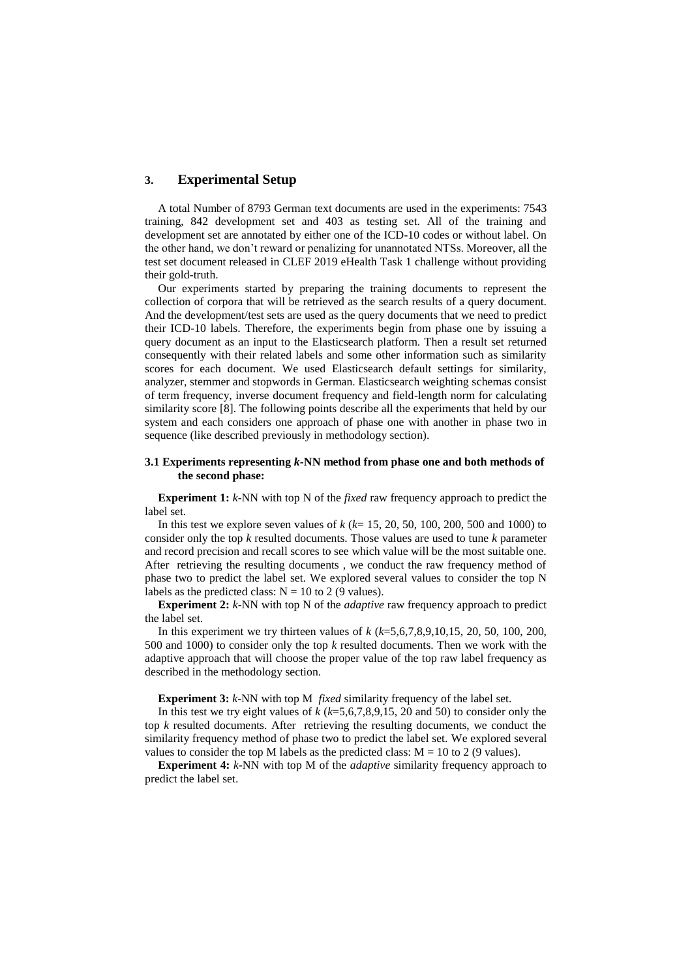### **3. Experimental Setup**

A total Number of 8793 German text documents are used in the experiments: 7543 training, 842 development set and 403 as testing set. All of the training and development set are annotated by either one of the ICD-10 codes or without label. On the other hand, we don't reward or penalizing for unannotated NTSs. Moreover, all the test set document released in CLEF 2019 eHealth Task 1 challenge without providing their gold-truth.

Our experiments started by preparing the training documents to represent the collection of corpora that will be retrieved as the search results of a query document. And the development/test sets are used as the query documents that we need to predict their ICD-10 labels. Therefore, the experiments begin from phase one by issuing a query document as an input to the Elasticsearch platform. Then a result set returned consequently with their related labels and some other information such as similarity scores for each document. We used Elasticsearch default settings for similarity, analyzer, stemmer and stopwords in German. Elasticsearch weighting schemas consist of term frequency, inverse document frequency and field-length norm for calculating similarity score [8]. The following points describe all the experiments that held by our system and each considers one approach of phase one with another in phase two in sequence (like described previously in methodology section).

### **3.1 Experiments representing** *k***-NN method from phase one and both methods of the second phase:**

**Experiment 1:** *k*-NN with top N of the *fixed* raw frequency approach to predict the label set.

In this test we explore seven values of *k* (*k*= 15, 20, 50, 100, 200, 500 and 1000) to consider only the top *k* resulted documents. Those values are used to tune *k* parameter and record precision and recall scores to see which value will be the most suitable one. After retrieving the resulting documents , we conduct the raw frequency method of phase two to predict the label set. We explored several values to consider the top N labels as the predicted class:  $N = 10$  to 2 (9 values).

**Experiment 2:** *k*-NN with top N of the *adaptive* raw frequency approach to predict the label set.

In this experiment we try thirteen values of *k* (*k*=5,6,7,8,9,10,15, 20, 50, 100, 200, 500 and 1000) to consider only the top *k* resulted documents. Then we work with the adaptive approach that will choose the proper value of the top raw label frequency as described in the methodology section.

**Experiment 3:** *k*-NN with top M *fixed* similarity frequency of the label set.

In this test we try eight values of *k* (*k*=5,6,7,8,9,15, 20 and 50) to consider only the top *k* resulted documents. After retrieving the resulting documents, we conduct the similarity frequency method of phase two to predict the label set. We explored several values to consider the top M labels as the predicted class:  $M = 10$  to 2 (9 values).

**Experiment 4:** *k*-NN with top M of the *adaptive* similarity frequency approach to predict the label set.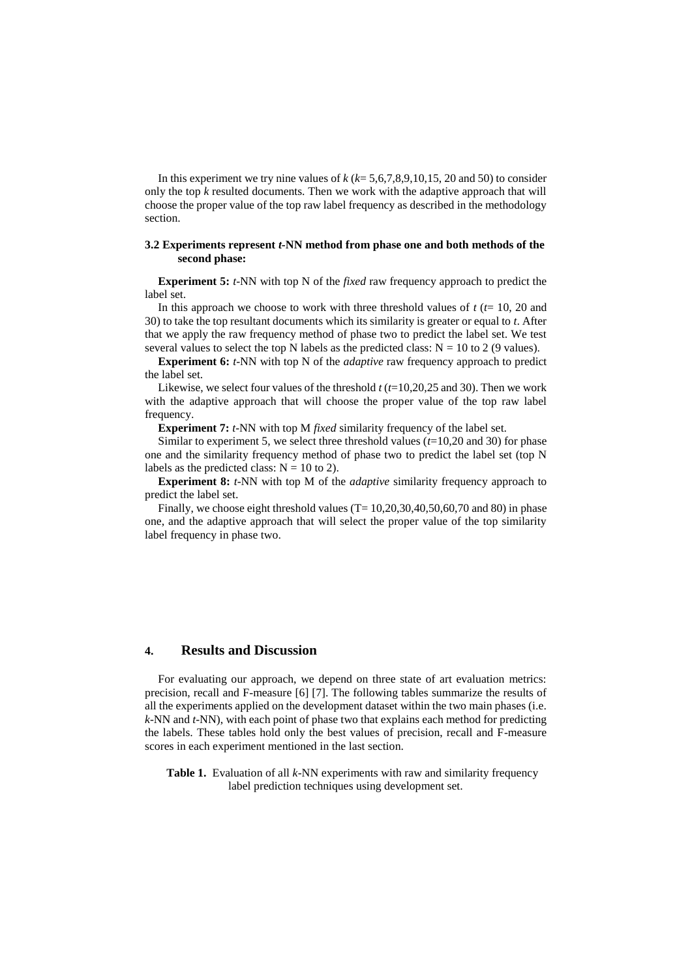In this experiment we try nine values of  $k (k= 5, 6, 7, 8, 9, 10, 15, 20, 10, 10)$  to consider only the top *k* resulted documents. Then we work with the adaptive approach that will choose the proper value of the top raw label frequency as described in the methodology section.

### **3.2 Experiments represent** *t***-NN method from phase one and both methods of the second phase:**

**Experiment 5:** *t*-NN with top N of the *fixed* raw frequency approach to predict the label set.

In this approach we choose to work with three threshold values of *t* (*t*= 10, 20 and 30) to take the top resultant documents which its similarity is greater or equal to *t*. After that we apply the raw frequency method of phase two to predict the label set. We test several values to select the top N labels as the predicted class:  $N = 10$  to 2 (9 values).

**Experiment 6:** *t*-NN with top N of the *adaptive* raw frequency approach to predict the label set.

Likewise, we select four values of the threshold *t* (*t*=10,20,25 and 30). Then we work with the adaptive approach that will choose the proper value of the top raw label frequency.

**Experiment 7:** *t*-NN with top M *fixed* similarity frequency of the label set.

Similar to experiment 5, we select three threshold values (*t*=10,20 and 30) for phase one and the similarity frequency method of phase two to predict the label set (top N labels as the predicted class:  $N = 10$  to 2).

**Experiment 8:** *t*-NN with top M of the *adaptive* similarity frequency approach to predict the label set.

Finally, we choose eight threshold values  $(T= 10, 20, 30, 40, 50, 60, 70, 80)$  in phase one, and the adaptive approach that will select the proper value of the top similarity label frequency in phase two.

### **4. Results and Discussion**

For evaluating our approach, we depend on three state of art evaluation metrics: precision, recall and F-measure [6] [7]. The following tables summarize the results of all the experiments applied on the development dataset within the two main phases (i.e. *k*-NN and *t*-NN), with each point of phase two that explains each method for predicting the labels. These tables hold only the best values of precision, recall and F-measure scores in each experiment mentioned in the last section.

**Table 1.** Evaluation of all *k*-NN experiments with raw and similarity frequency label prediction techniques using development set.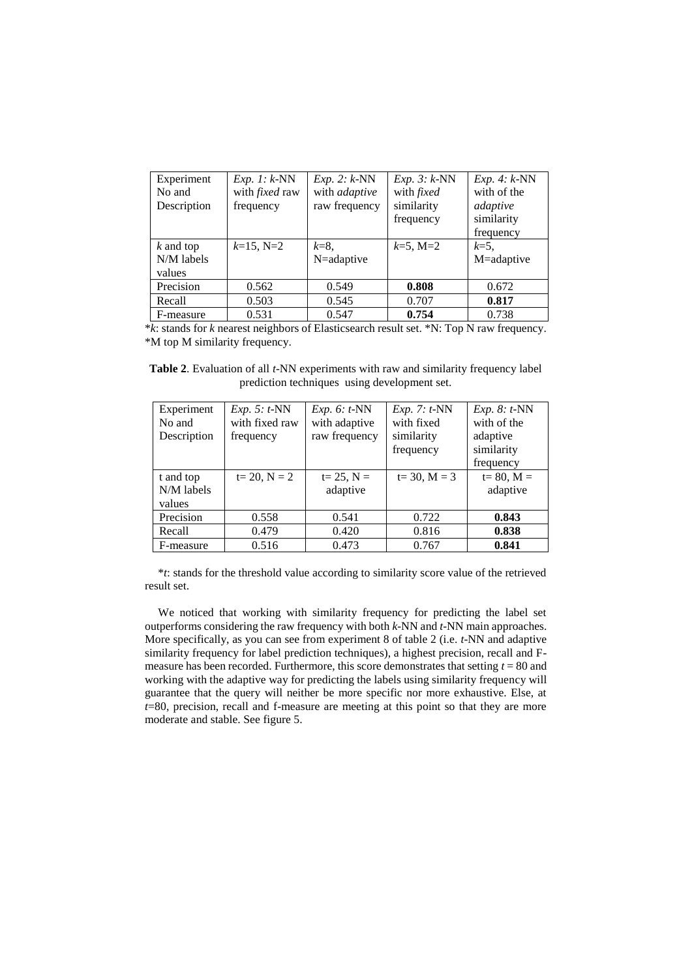| Experiment  | $Exp. 1: k-NN$        | $Exp. 2: k-NN$ | $Exp. 3: k-NN$    | $Exp. 4: k-NN$ |
|-------------|-----------------------|----------------|-------------------|----------------|
| No and      | with <i>fixed</i> raw | with adaptive  | with <i>fixed</i> | with of the    |
| Description | frequency             | raw frequency  | similarity        | adaptive       |
|             |                       |                | frequency         | similarity     |
|             |                       |                |                   | frequency      |
| $k$ and top | $k=15$ , N=2          | $k=8$ .        | $k=5$ , M=2       | $k=5$ .        |
| N/M labels  |                       | N=adaptive     |                   | M=adaptive     |
| values      |                       |                |                   |                |
| Precision   | 0.562                 | 0.549          | 0.808             | 0.672          |
| Recall      | 0.503                 | 0.545          | 0.707             | 0.817          |
| F-measure   | 0.531                 | 0.547          | 0.754             | 0.738          |

\**k*: stands for *k* nearest neighbors of Elasticsearch result set. \*N: Top N raw frequency. \*M top M similarity frequency.

**Table 2**. Evaluation of all *t*-NN experiments with raw and similarity frequency label prediction techniques using development set.

| Experiment<br>No and<br>Description | $Exp. 5: t-NN$<br>with fixed raw<br>frequency | $Exp. 6: t-NN$<br>with adaptive<br>raw frequency | $Exp. 7: t-NN$<br>with fixed<br>similarity<br>frequency | $Exp. 8: t-NN$<br>with of the<br>adaptive<br>similarity<br>frequency |
|-------------------------------------|-----------------------------------------------|--------------------------------------------------|---------------------------------------------------------|----------------------------------------------------------------------|
| t and top<br>N/M labels<br>values   | $t = 20, N = 2$                               | $t = 25, N =$<br>adaptive                        | $t = 30, M = 3$                                         | $t = 80, M =$<br>adaptive                                            |
| Precision                           | 0.558                                         | 0.541                                            | 0.722                                                   | 0.843                                                                |
| Recall                              | 0.479                                         | 0.420                                            | 0.816                                                   | 0.838                                                                |
| F-measure                           | 0.516                                         | 0.473                                            | 0.767                                                   | 0.841                                                                |

\**t*: stands for the threshold value according to similarity score value of the retrieved result set.

We noticed that working with similarity frequency for predicting the label set outperforms considering the raw frequency with both *k*-NN and *t*-NN main approaches. More specifically, as you can see from experiment 8 of table 2 (i.e. *t*-NN and adaptive similarity frequency for label prediction techniques), a highest precision, recall and Fmeasure has been recorded. Furthermore, this score demonstrates that setting  $t = 80$  and working with the adaptive way for predicting the labels using similarity frequency will guarantee that the query will neither be more specific nor more exhaustive. Else, at *t*=80, precision, recall and f-measure are meeting at this point so that they are more moderate and stable. See figure 5.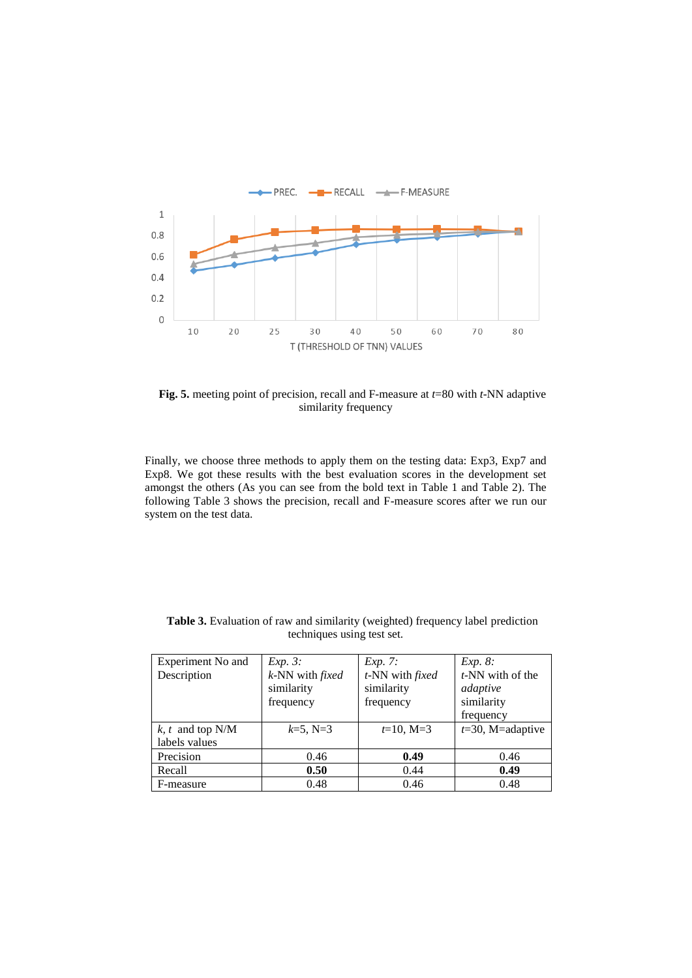

**Fig. 5.** meeting point of precision, recall and F-measure at *t*=80 with *t*-NN adaptive similarity frequency

Finally, we choose three methods to apply them on the testing data: Exp3, Exp7 and Exp8. We got these results with the best evaluation scores in the development set amongst the others (As you can see from the bold text in Table 1 and Table 2). The following Table 3 shows the precision, recall and F-measure scores after we run our system on the test data.

| Experiment No and  | $Exp. 3$ :      | <i>Exp.</i> 7:  | Exp. 8:             |
|--------------------|-----------------|-----------------|---------------------|
| Description        | k-NN with fixed | t-NN with fixed | $t$ -NN with of the |
|                    | similarity      | similarity      | adaptive            |
|                    | frequency       | frequency       | similarity          |
|                    |                 |                 | frequency           |
| $k, t$ and top N/M | $k=5$ , N=3     | $t=10, M=3$     | $t=30$ , M=adaptive |
| labels values      |                 |                 |                     |
| Precision          | 0.46            | 0.49            | 0.46                |
| Recall             | 0.50            | 0.44            | 0.49                |
| F-measure          | 0.48            | 0.46            | 0.48                |

Table 3. Evaluation of raw and similarity (weighted) frequency label prediction techniques using test set.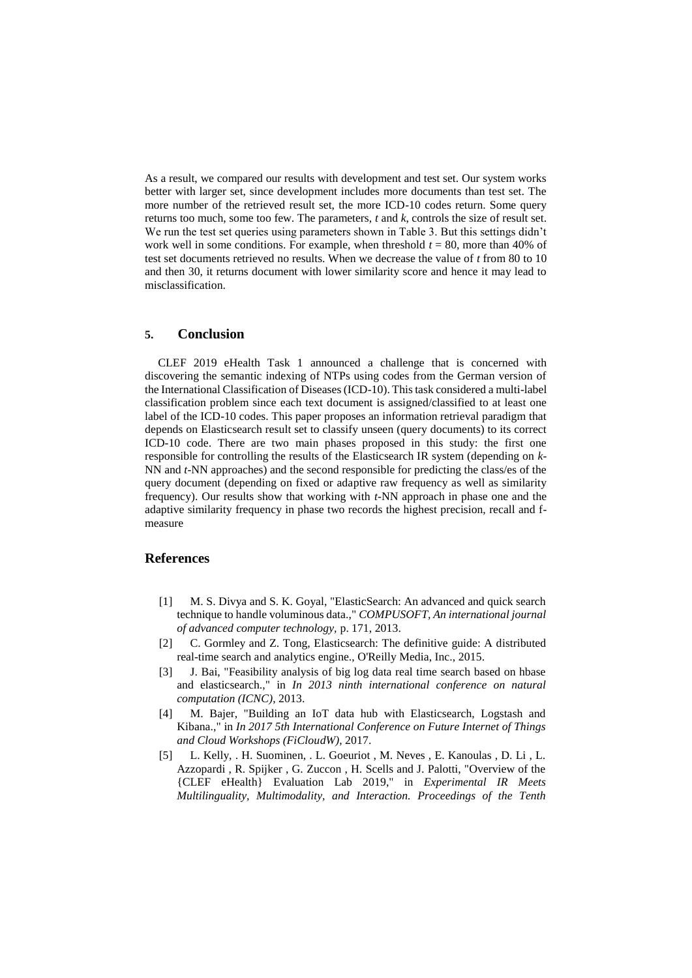As a result, we compared our results with development and test set. Our system works better with larger set, since development includes more documents than test set. The more number of the retrieved result set, the more ICD-10 codes return. Some query returns too much, some too few. The parameters, *t* and *k*, controls the size of result set. We run the test set queries using parameters shown in Table 3. But this settings didn't work well in some conditions. For example, when threshold  $t = 80$ , more than 40% of test set documents retrieved no results. When we decrease the value of *t* from 80 to 10 and then 30, it returns document with lower similarity score and hence it may lead to misclassification.

### **5. Conclusion**

CLEF 2019 eHealth Task 1 announced a challenge that is concerned with discovering the semantic indexing of NTPs using codes from the German version of the International Classification of Diseases (ICD-10). This task considered a multi-label classification problem since each text document is assigned/classified to at least one label of the ICD-10 codes. This paper proposes an information retrieval paradigm that depends on Elasticsearch result set to classify unseen (query documents) to its correct ICD-10 code. There are two main phases proposed in this study: the first one responsible for controlling the results of the Elasticsearch IR system (depending on *k*-NN and *t*-NN approaches) and the second responsible for predicting the class/es of the query document (depending on fixed or adaptive raw frequency as well as similarity frequency). Our results show that working with *t*-NN approach in phase one and the adaptive similarity frequency in phase two records the highest precision, recall and fmeasure

### **References**

- [1] M. S. Divya and S. K. Goyal, "ElasticSearch: An advanced and quick search technique to handle voluminous data.," *COMPUSOFT, An international journal of advanced computer technology,* p. 171, 2013.
- [2] C. Gormley and Z. Tong, Elasticsearch: The definitive guide: A distributed real-time search and analytics engine., O'Reilly Media, Inc., 2015.
- [3] J. Bai, "Feasibility analysis of big log data real time search based on hbase and elasticsearch.," in *In 2013 ninth international conference on natural computation (ICNC)*, 2013.
- [4] M. Bajer, "Building an IoT data hub with Elasticsearch, Logstash and Kibana.," in *In 2017 5th International Conference on Future Internet of Things and Cloud Workshops (FiCloudW)*, 2017.
- [5] L. Kelly, . H. Suominen, . L. Goeuriot , M. Neves , E. Kanoulas , D. Li , L. Azzopardi , R. Spijker , G. Zuccon , H. Scells and J. Palotti, "Overview of the {CLEF eHealth} Evaluation Lab 2019," in *Experimental IR Meets Multilinguality, Multimodality, and Interaction. Proceedings of the Tenth*